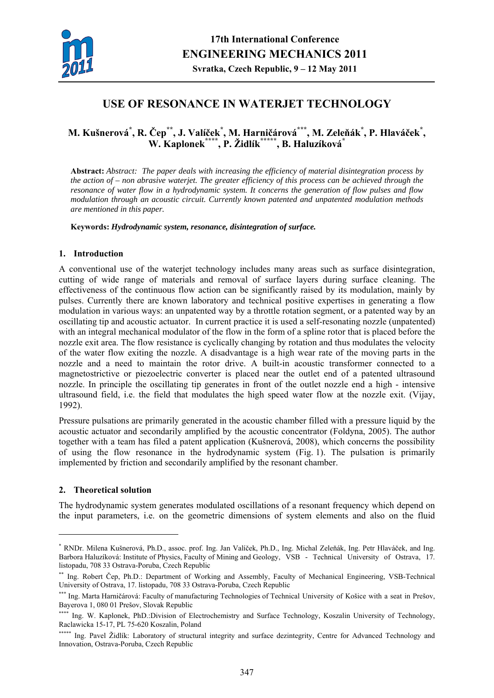

# **USE OF RESONANCE IN WATERJET TECHNOLOGY**

## **M. Kušnerová\* , R. Čep\*\*, J. Valíček\* , M. Harničárová\*\*\*, M. Zeleňák\* , P. Hlaváček\* , W. Kaplonek\*\*\*\*, P. Židlík\*\*\*\*\*, B. Haluzíková\***

**Abstract:** *Abstract: The paper deals with increasing the efficiency of material disintegration process by the action of – non abrasive waterjet. The greater efficiency of this process can be achieved through the resonance of water flow in a hydrodynamic system. It concerns the generation of flow pulses and flow modulation through an acoustic circuit. Currently known patented and unpatented modulation methods are mentioned in this paper.*

**Keywords:** *Hydrodynamic system, resonance, disintegration of surface.* 

## **1. Introduction**

A conventional use of the waterjet technology includes many areas such as surface disintegration, cutting of wide range of materials and removal of surface layers during surface cleaning. The effectiveness of the continuous flow action can be significantly raised by its modulation, mainly by pulses. Currently there are known laboratory and technical positive expertises in generating a flow modulation in various ways: an unpatented way by a throttle rotation segment, or a patented way by an oscillating tip and acoustic actuator. In current practice it is used a self-resonating nozzle (unpatented) with an integral mechanical modulator of the flow in the form of a spline rotor that is placed before the nozzle exit area. The flow resistance is cyclically changing by rotation and thus modulates the velocity of the water flow exiting the nozzle. A disadvantage is a high wear rate of the moving parts in the nozzle and a need to maintain the rotor drive. A built-in acoustic transformer connected to a magnetostrictive or piezoelectric converter is placed near the outlet end of a patented ultrasound nozzle. In principle the oscillating tip generates in front of the outlet nozzle end a high - intensive ultrasound field, i.e. the field that modulates the high speed water flow at the nozzle exit. (Vijay, 1992).

Pressure pulsations are primarily generated in the acoustic chamber filled with a pressure liquid by the acoustic actuator and secondarily amplified by the acoustic concentrator (Foldyna, 2005). The author together with a team has filed a patent application (Kušnerová, 2008), which concerns the possibility of using the flow resonance in the hydrodynamic system (Fig. 1). The pulsation is primarily implemented by friction and secondarily amplified by the resonant chamber.

### **2. Theoretical solution**

1

The hydrodynamic system generates modulated oscillations of a resonant frequency which depend on the input parameters, i.e. on the geometric dimensions of system elements and also on the fluid

<sup>\*</sup> RNDr. Milena Kušnerová, Ph.D., assoc. prof. Ing. Jan Valíček, Ph.D., Ing. Michal Zeleňák, Ing. Petr Hlaváček, and Ing. Barbora Haluzíková: Institute of Physics, Faculty of Mining and Geology, VSB - Technical University of Ostrava, 17. listopadu, 708 33 Ostrava-Poruba, Czech Republic

<sup>\*\*</sup> Ing. Robert Čep, Ph.D.: Department of Working and Assembly, Faculty of Mechanical Engineering, VSB-Technical University of Ostrava, 17. listopadu, 708 33 Ostrava-Poruba, Czech Republic

<sup>\*\*\*</sup> Ing. Marta Harničárová: Faculty of manufacturing Technologies of Technical University of Košice with a seat in Prešov, Bayerova 1, 080 01 Prešov, Slovak Republic

<sup>\*\*\*\*</sup> Ing. W. Kaplonek, PhD.:Division of Electrochemistry and Surface Technology, Koszalin University of Technology, Raclawicka 15-17, PL 75-620 Koszalin, Poland

<sup>\*\*\*\*\*</sup> Ing. Pavel Židlík: Laboratory of structural integrity and surface dezintegrity, Centre for Advanced Technology and Innovation, Ostrava-Poruba, Czech Republic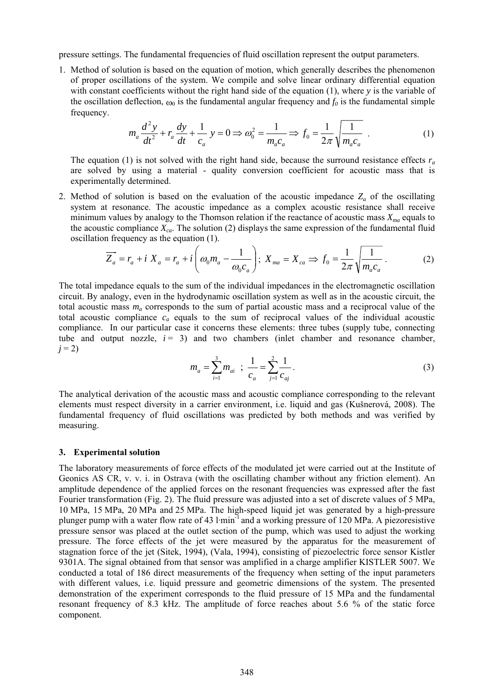pressure settings. The fundamental frequencies of fluid oscillation represent the output parameters.

1. Method of solution is based on the equation of motion, which generally describes the phenomenon of proper oscillations of the system. We compile and solve linear ordinary differential equation with constant coefficients without the right hand side of the equation (1), where *y* is the variable of the oscillation deflection,  $\omega_0$  is the fundamental angular frequency and  $f_0$  is the fundamental simple frequency.

$$
m_a \frac{d^2 y}{dt^2} + r_a \frac{dy}{dt} + \frac{1}{c_a} y = 0 \implies \omega_0^2 = \frac{1}{m_a c_a} \implies f_0 = \frac{1}{2\pi} \sqrt{\frac{1}{m_a c_a}} \tag{1}
$$

The equation (1) is not solved with the right hand side, because the surround resistance effects  $r_a$ are solved by using a material - quality conversion coefficient for acoustic mass that is experimentally determined.

2. Method of solution is based on the evaluation of the acoustic impedance  $Z_a$  of the oscillating system at resonance. The acoustic impedance as a complex acoustic resistance shall receive minimum values by analogy to the Thomson relation if the reactance of acoustic mass  $X_{ma}$  equals to the acoustic compliance  $X_{ca}$ . The solution (2) displays the same expression of the fundamental fluid oscillation frequency as the equation (1).

$$
\overrightarrow{Z_a} = r_a + i X_a = r_a + i \left( \omega_0 m_a - \frac{1}{\omega_0 c_a} \right); X_{ma} = X_{ca} \Rightarrow f_0 = \frac{1}{2\pi} \sqrt{\frac{1}{m_a c_a}} \,. \tag{2}
$$

The total impedance equals to the sum of the individual impedances in the electromagnetic oscillation circuit. By analogy, even in the hydrodynamic oscillation system as well as in the acoustic circuit, the total acoustic mass *ma* corresponds to the sum of partial acoustic mass and a reciprocal value of the total acoustic compliance *ca* equals to the sum of reciprocal values of the individual acoustic compliance. In our particular case it concerns these elements: three tubes (supply tube, connecting tube and output nozzle,  $i = 3$ ) and two chambers (inlet chamber and resonance chamber,  $j = 2$ )

$$
m_a = \sum_{i=1}^{3} m_{ai} \quad ; \quad \frac{1}{c_a} = \sum_{j=1}^{2} \frac{1}{c_{aj}} \,. \tag{3}
$$

The analytical derivation of the acoustic mass and acoustic compliance corresponding to the relevant elements must respect diversity in a carrier environment, i.e. liquid and gas (Kušnerová, 2008). The fundamental frequency of fluid oscillations was predicted by both methods and was verified by measuring.

#### **3. Experimental solution**

The laboratory measurements of force effects of the modulated jet were carried out at the Institute of Geonics AS CR, v. v. i. in Ostrava (with the oscillating chamber without any friction element). An amplitude dependence of the applied forces on the resonant frequencies was expressed after the fast Fourier transformation (Fig. 2). The fluid pressure was adjusted into a set of discrete values of 5 MPa, 10 MPa, 15 MPa, 20 MPa and 25 MPa. The high-speed liquid jet was generated by a high-pressure plunger pump with a water flow rate of 43 l·min-1 and a working pressure of 120 MPa. A piezoresistive pressure sensor was placed at the outlet section of the pump, which was used to adjust the working pressure. The force effects of the jet were measured by the apparatus for the measurement of stagnation force of the jet (Sitek, 1994), (Vala, 1994), consisting of piezoelectric force sensor Kistler 9301A. The signal obtained from that sensor was amplified in a charge amplifier KISTLER 5007. We conducted a total of 186 direct measurements of the frequency when setting of the input parameters with different values, i.e. liquid pressure and geometric dimensions of the system. The presented demonstration of the experiment corresponds to the fluid pressure of 15 MPa and the fundamental resonant frequency of 8.3 kHz. The amplitude of force reaches about 5.6 % of the static force component.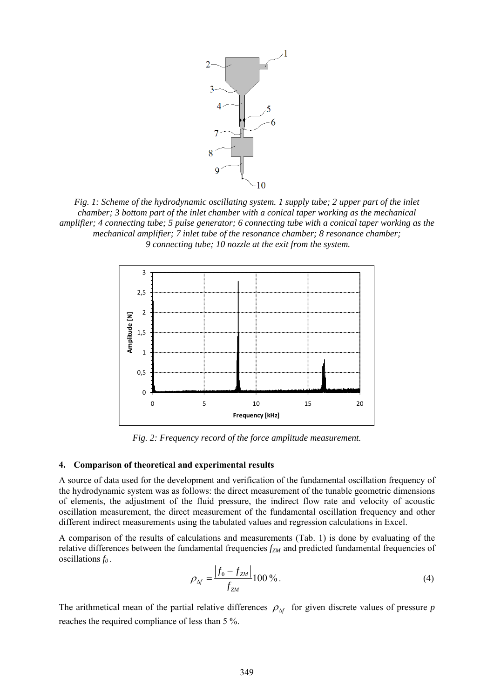

*Fig. 1: Scheme of the hydrodynamic oscillating system. 1 supply tube; 2 upper part of the inlet chamber; 3 bottom part of the inlet chamber with a conical taper working as the mechanical amplifier; 4 connecting tube; 5 pulse generator; 6 connecting tube with a conical taper working as the mechanical amplifier; 7 inlet tube of the resonance chamber; 8 resonance chamber; 9 connecting tube; 10 nozzle at the exit from the system.* 



*Fig. 2: Frequency record of the force amplitude measurement.* 

#### **4. Comparison of theoretical and experimental results**

A source of data used for the development and verification of the fundamental oscillation frequency of the hydrodynamic system was as follows: the direct measurement of the tunable geometric dimensions of elements, the adjustment of the fluid pressure, the indirect flow rate and velocity of acoustic oscillation measurement, the direct measurement of the fundamental oscillation frequency and other different indirect measurements using the tabulated values and regression calculations in Excel.

A comparison of the results of calculations and measurements (Tab. 1) is done by evaluating of the relative differences between the fundamental frequencies  $f_{ZM}$  and predicted fundamental frequencies of oscillations *f0* .

$$
\rho_{\Delta f} = \frac{|f_0 - f_{ZM}|}{f_{ZM}} 100\% \tag{4}
$$

The arithmetical mean of the partial relative differences  $\rho_{\Delta f}$  for given discrete values of pressure *p* reaches the required compliance of less than 5 %.